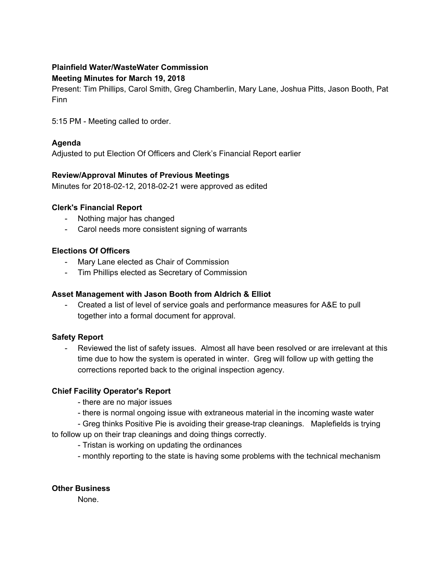# **Plainfield Water/WasteWater Commission**

#### **Meeting Minutes for March 19, 2018**

Present: Tim Phillips, Carol Smith, Greg Chamberlin, Mary Lane, Joshua Pitts, Jason Booth, Pat Finn

5:15 PM - Meeting called to order.

## **Agenda**

Adjusted to put Election Of Officers and Clerk's Financial Report earlier

### **Review/Approval Minutes of Previous Meetings**

Minutes for 2018-02-12, 2018-02-21 were approved as edited

#### **Clerk's Financial Report**

- Nothing major has changed
- Carol needs more consistent signing of warrants

### **Elections Of Officers**

- Mary Lane elected as Chair of Commission
- Tim Phillips elected as Secretary of Commission

### **Asset Management with Jason Booth from Aldrich & Elliot**

- Created a list of level of service goals and performance measures for A&E to pull together into a formal document for approval.

### **Safety Report**

- Reviewed the list of safety issues. Almost all have been resolved or are irrelevant at this time due to how the system is operated in winter. Greg will follow up with getting the corrections reported back to the original inspection agency.

### **Chief Facility Operator's Report**

- there are no major issues

- there is normal ongoing issue with extraneous material in the incoming waste water

- Greg thinks Positive Pie is avoiding their grease-trap cleanings. Maplefields is trying to follow up on their trap cleanings and doing things correctly.

- Tristan is working on updating the ordinances
- monthly reporting to the state is having some problems with the technical mechanism

### **Other Business**

None.